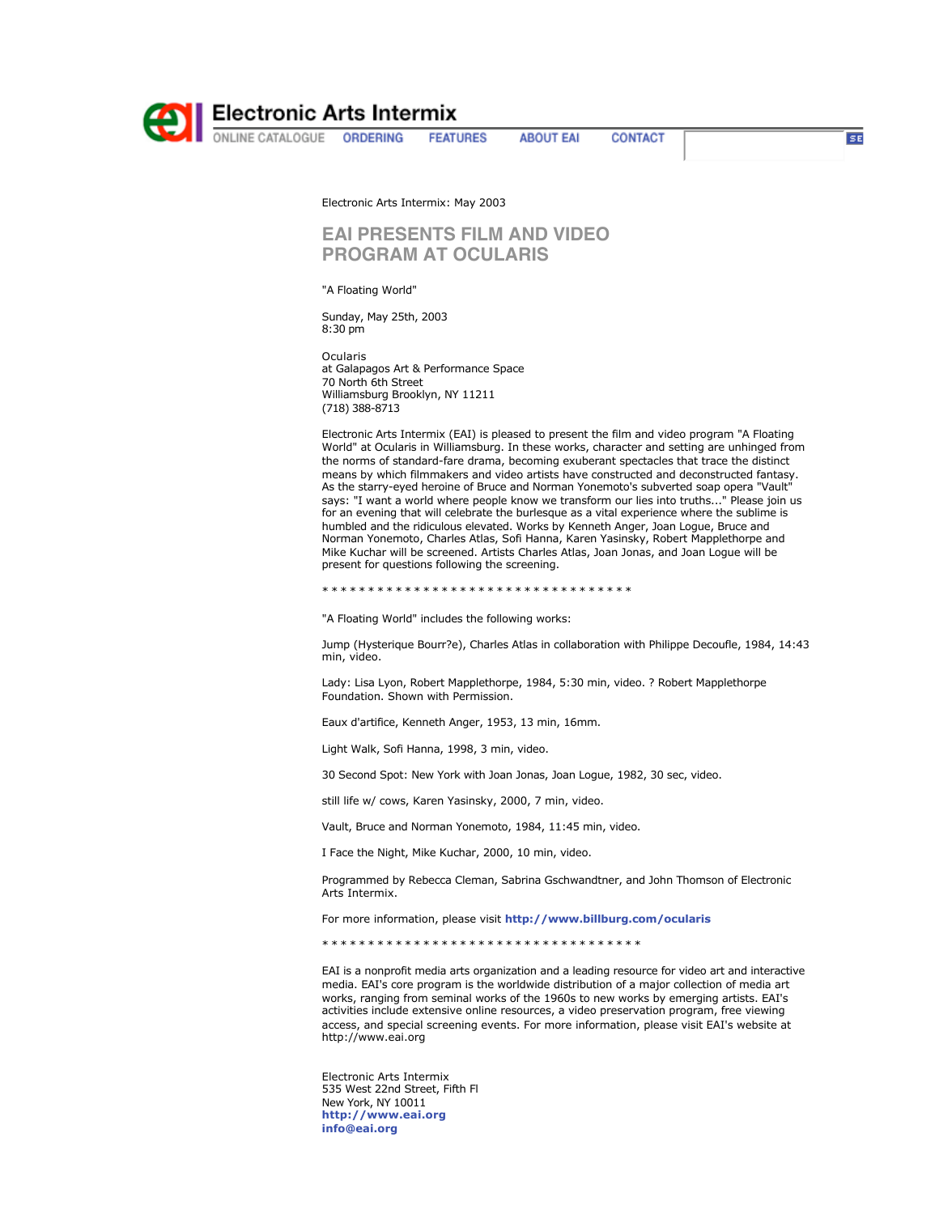

**Electronic Arts Intermix**<br> **MENGINE CATALOGUE ORDERING FEAT!** 

**FEATURES** 

**ABOUT EAI** 

CONTACT

 $SE$ 

Electronic Arts Intermix: May 2003

## **EAI PRESENTS FILM AND VIDEO PROGRAM AT OCULARIS**

"A Floating World"

Sunday, May 25th, 2003 8:30 pm

Ocularis at Galapagos Art & Performance Space 70 North 6th Street Williamsburg Brooklyn, NY 11211 (718) 388-8713

Electronic Arts Intermix (EAI) is pleased to present the film and video program "A Floating World" at Ocularis in Williamsburg. In these works, character and setting are unhinged from the norms of standard-fare drama, becoming exuberant spectacles that trace the distinct means by which filmmakers and video artists have constructed and deconstructed fantasy. As the starry-eyed heroine of Bruce and Norman Yonemoto's subverted soap opera "Vault" says: "I want a world where people know we transform our lies into truths..." Please join us for an evening that will celebrate the burlesque as a vital experience where the sublime is humbled and the ridiculous elevated. Works by Kenneth Anger, Joan Logue, Bruce and Norman Yonemoto, Charles Atlas, Sofi Hanna, Karen Yasinsky, Robert Mapplethorpe and Mike Kuchar will be screened. Artists Charles Atlas, Joan Jonas, and Joan Logue will be present for questions following the screening.

\* \* \* \* \* \* \* \* \* \* \* \* \* \* \* \* \* \* \* \* \* \* \* \* \* \* \* \* \* \* \* \* \* \*

"A Floating World" includes the following works:

Jump (Hysterique Bourr?e), Charles Atlas in collaboration with Philippe Decoufle, 1984, 14:43 min, video.

Lady: Lisa Lyon, Robert Mapplethorpe, 1984, 5:30 min, video. ? Robert Mapplethorpe Foundation. Shown with Permission.

Eaux d'artifice, Kenneth Anger, 1953, 13 min, 16mm.

Light Walk, Sofi Hanna, 1998, 3 min, video.

30 Second Spot: New York with Joan Jonas, Joan Logue, 1982, 30 sec, video.

still life w/ cows, Karen Yasinsky, 2000, 7 min, video.

Vault, Bruce and Norman Yonemoto, 1984, 11:45 min, video.

I Face the Night, Mike Kuchar, 2000, 10 min, video.

Programmed by Rebecca Cleman, Sabrina Gschwandtner, and John Thomson of Electronic Arts Intermix.

For more information, please visit **http://www.billburg.com/ocularis** 

\* \* \* \* \* \* \* \* \* \* \* \* \* \* \* \* \* \* \* \* \* \* \* \* \* \* \* \* \* \* \* \* \* \* \*

EAI is a nonprofit media arts organization and a leading resource for video art and interactive media. EAI's core program is the worldwide distribution of a major collection of media art works, ranging from seminal works of the 1960s to new works by emerging artists. EAI's activities include extensive online resources, a video preservation program, free viewing access, and special screening events. For more information, please visit EAI's website at http://www.eai.org

Electronic Arts Intermix 535 West 22nd Street, Fifth Fl New York, NY 10011 **http://www.eai.org info@eai.org**